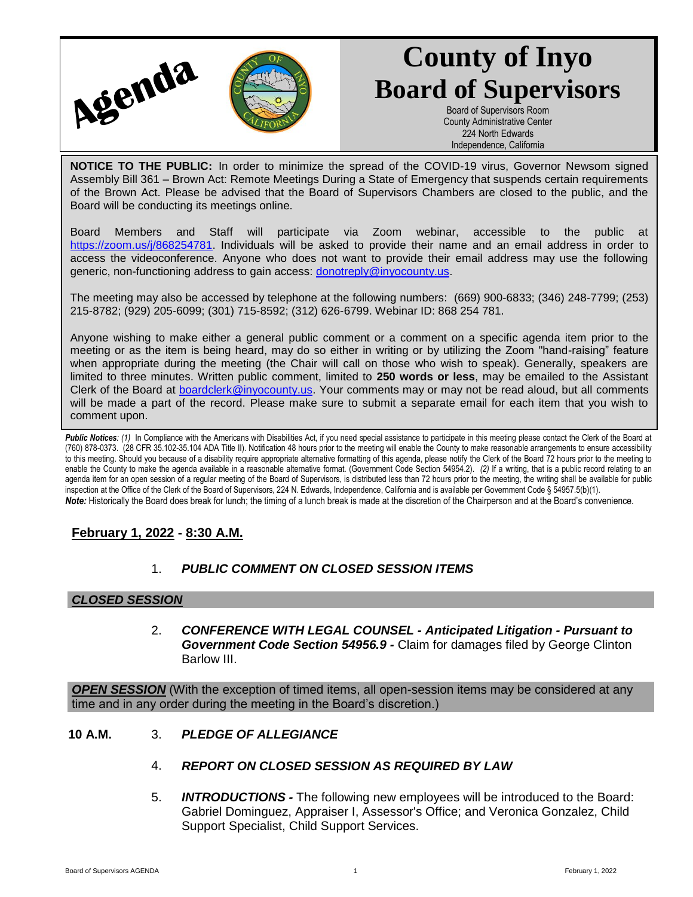

# **County of Inyo Board of Supervisors**

Board of Supervisors Room County Administrative Center 224 North Edwards Independence, California

**NOTICE TO THE PUBLIC:** In order to minimize the spread of the COVID-19 virus, Governor Newsom signed Assembly Bill 361 – Brown Act: Remote Meetings During a State of Emergency that suspends certain requirements of the Brown Act. Please be advised that the Board of Supervisors Chambers are closed to the public, and the Board will be conducting its meetings online.

Board Members and Staff will participate via Zoom webinar, accessible to the public at [https://zoom.us/j/868254781.](https://zoom.us/j/868254781) Individuals will be asked to provide their name and an email address in order to access the videoconference. Anyone who does not want to provide their email address may use the following generic, non-functioning address to gain access: [donotreply@inyocounty.us.](mailto:donotreply@inyocounty.us)

The meeting may also be accessed by telephone at the following numbers: (669) 900-6833; (346) 248-7799; (253) 215-8782; (929) 205-6099; (301) 715-8592; (312) 626-6799. Webinar ID: 868 254 781.

Anyone wishing to make either a general public comment or a comment on a specific agenda item prior to the meeting or as the item is being heard, may do so either in writing or by utilizing the Zoom "hand-raising" feature when appropriate during the meeting (the Chair will call on those who wish to speak). Generally, speakers are limited to three minutes. Written public comment, limited to **250 words or less**, may be emailed to the Assistant Clerk of the Board at [boardclerk@inyocounty.us.](mailto:boardclerk@inyocounty.us) Your comments may or may not be read aloud, but all comments will be made a part of the record. Please make sure to submit a separate email for each item that you wish to comment upon.

Public Notices: (1) In Compliance with the Americans with Disabilities Act, if you need special assistance to participate in this meeting please contact the Clerk of the Board at (760) 878-0373. (28 CFR 35.102-35.104 ADA Title II). Notification 48 hours prior to the meeting will enable the County to make reasonable arrangements to ensure accessibility to this meeting. Should you because of a disability require appropriate alternative formatting of this agenda, please notify the Clerk of the Board 72 hours prior to the meeting to enable the County to make the agenda available in a reasonable alternative format. (Government Code Section 54954.2). *(2)* If a writing, that is a public record relating to an agenda item for an open session of a regular meeting of the Board of Supervisors, is distributed less than 72 hours prior to the meeting, the writing shall be available for public inspection at the Office of the Clerk of the Board of Supervisors, 224 N. Edwards, Independence, California and is available per Government Code § 54957.5(b)(1). *Note:* Historically the Board does break for lunch; the timing of a lunch break is made at the discretion of the Chairperson and at the Board's convenience.

# **February 1, 2022 - 8:30 A.M.**

# 1. *PUBLIC COMMENT ON CLOSED SESSION ITEMS*

#### *CLOSED SESSION*

2. *CONFERENCE WITH LEGAL COUNSEL - Anticipated Litigation - Pursuant to Government Code Section 54956.9 -* Claim for damages filed by George Clinton Barlow III.

**OPEN SESSION** (With the exception of timed items, all open-session items may be considered at any time and in any order during the meeting in the Board's discretion.)

- **10 A.M.** 3. *PLEDGE OF ALLEGIANCE*
	- 4. *REPORT ON CLOSED SESSION AS REQUIRED BY LAW*
	- 5. *INTRODUCTIONS -* The following new employees will be introduced to the Board: Gabriel Dominguez, Appraiser I, Assessor's Office; and Veronica Gonzalez, Child Support Specialist, Child Support Services.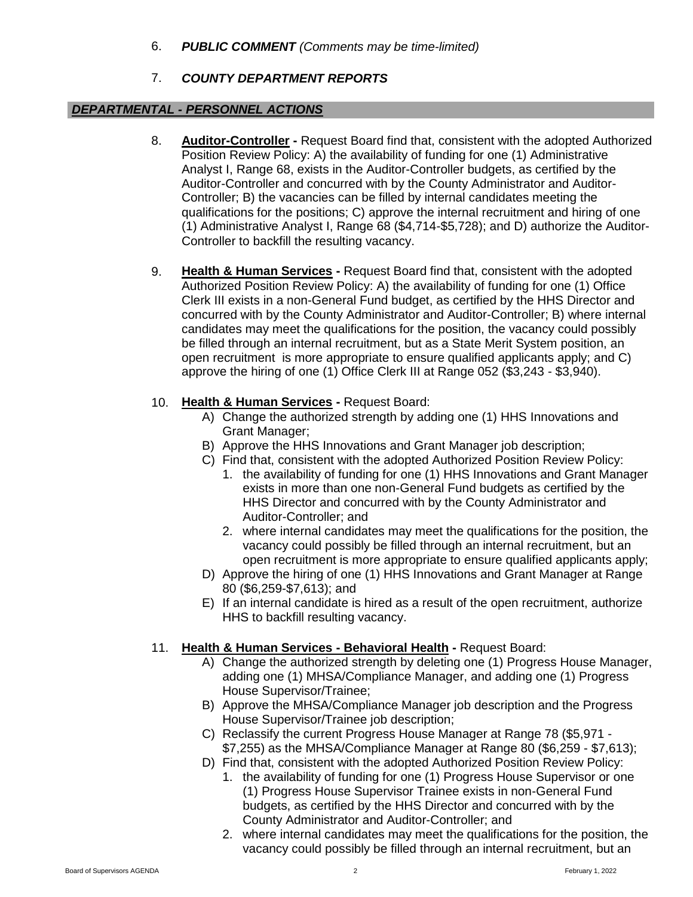6. *PUBLIC COMMENT (Comments may be time-limited)*

# 7. *COUNTY DEPARTMENT REPORTS*

#### *DEPARTMENTAL - PERSONNEL ACTIONS*

- 8. **Auditor-Controller -** Request Board find that, consistent with the adopted Authorized Position Review Policy: A) the availability of funding for one (1) Administrative Analyst I, Range 68, exists in the Auditor-Controller budgets, as certified by the Auditor-Controller and concurred with by the County Administrator and Auditor-Controller; B) the vacancies can be filled by internal candidates meeting the qualifications for the positions; C) approve the internal recruitment and hiring of one (1) Administrative Analyst I, Range 68 (\$4,714-\$5,728); and D) authorize the Auditor-Controller to backfill the resulting vacancy.
- 9. **Health & Human Services -** Request Board find that, consistent with the adopted Authorized Position Review Policy: A) the availability of funding for one (1) Office Clerk III exists in a non-General Fund budget, as certified by the HHS Director and concurred with by the County Administrator and Auditor-Controller; B) where internal candidates may meet the qualifications for the position, the vacancy could possibly be filled through an internal recruitment, but as a State Merit System position, an open recruitment is more appropriate to ensure qualified applicants apply; and C) approve the hiring of one (1) Office Clerk III at Range 052 (\$3,243 - \$3,940).

# 10. **Health & Human Services -** Request Board:

- A) Change the authorized strength by adding one (1) HHS Innovations and Grant Manager;
- B) Approve the HHS Innovations and Grant Manager job description;
- C) Find that, consistent with the adopted Authorized Position Review Policy:
	- 1. the availability of funding for one (1) HHS Innovations and Grant Manager exists in more than one non-General Fund budgets as certified by the HHS Director and concurred with by the County Administrator and Auditor-Controller; and
	- 2. where internal candidates may meet the qualifications for the position, the vacancy could possibly be filled through an internal recruitment, but an open recruitment is more appropriate to ensure qualified applicants apply;
- D) Approve the hiring of one (1) HHS Innovations and Grant Manager at Range 80 (\$6,259-\$7,613); and
- E) If an internal candidate is hired as a result of the open recruitment, authorize HHS to backfill resulting vacancy.

# 11. **Health & Human Services - Behavioral Health -** Request Board:

- A) Change the authorized strength by deleting one (1) Progress House Manager, adding one (1) MHSA/Compliance Manager, and adding one (1) Progress House Supervisor/Trainee;
- B) Approve the MHSA/Compliance Manager job description and the Progress House Supervisor/Trainee job description;
- C) Reclassify the current Progress House Manager at Range 78 (\$5,971 \$7,255) as the MHSA/Compliance Manager at Range 80 (\$6,259 - \$7,613);
- D) Find that, consistent with the adopted Authorized Position Review Policy:
	- 1. the availability of funding for one (1) Progress House Supervisor or one (1) Progress House Supervisor Trainee exists in non-General Fund budgets, as certified by the HHS Director and concurred with by the County Administrator and Auditor-Controller; and
	- 2. where internal candidates may meet the qualifications for the position, the vacancy could possibly be filled through an internal recruitment, but an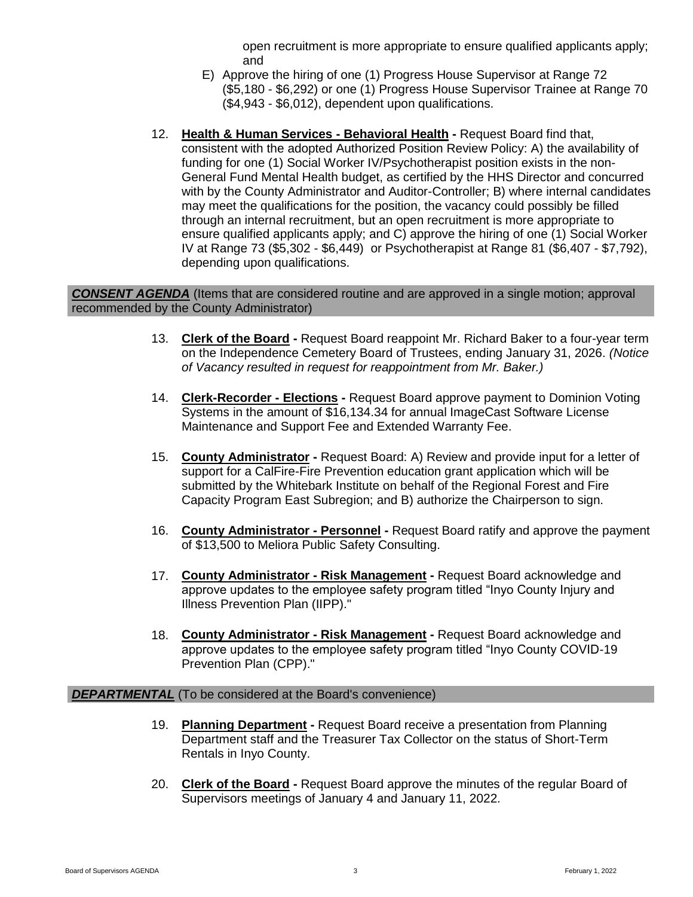open recruitment is more appropriate to ensure qualified applicants apply; and

- E) Approve the hiring of one (1) Progress House Supervisor at Range 72 (\$5,180 - \$6,292) or one (1) Progress House Supervisor Trainee at Range 70 (\$4,943 - \$6,012), dependent upon qualifications.
- 12. **Health & Human Services - Behavioral Health -** Request Board find that, consistent with the adopted Authorized Position Review Policy: A) the availability of funding for one (1) Social Worker IV/Psychotherapist position exists in the non-General Fund Mental Health budget, as certified by the HHS Director and concurred with by the County Administrator and Auditor-Controller; B) where internal candidates may meet the qualifications for the position, the vacancy could possibly be filled through an internal recruitment, but an open recruitment is more appropriate to ensure qualified applicants apply; and C) approve the hiring of one (1) Social Worker IV at Range 73 (\$5,302 - \$6,449) or Psychotherapist at Range 81 (\$6,407 - \$7,792), depending upon qualifications.

#### *CONSENT AGENDA* (Items that are considered routine and are approved in a single motion; approval recommended by the County Administrator)

- 13. **Clerk of the Board -** Request Board reappoint Mr. Richard Baker to a four-year term on the Independence Cemetery Board of Trustees, ending January 31, 2026. *(Notice of Vacancy resulted in request for reappointment from Mr. Baker.)*
- 14. **Clerk-Recorder - Elections -** Request Board approve payment to Dominion Voting Systems in the amount of \$16,134.34 for annual ImageCast Software License Maintenance and Support Fee and Extended Warranty Fee.
- 15. **County Administrator -** Request Board: A) Review and provide input for a letter of support for a CalFire-Fire Prevention education grant application which will be submitted by the Whitebark Institute on behalf of the Regional Forest and Fire Capacity Program East Subregion; and B) authorize the Chairperson to sign.
- 16. **County Administrator - Personnel -** Request Board ratify and approve the payment of \$13,500 to Meliora Public Safety Consulting.
- 17. **County Administrator - Risk Management -** Request Board acknowledge and approve updates to the employee safety program titled "Inyo County Injury and Illness Prevention Plan (IIPP)."
- 18. **County Administrator - Risk Management -** Request Board acknowledge and approve updates to the employee safety program titled "Inyo County COVID-19 Prevention Plan (CPP)."

#### **DEPARTMENTAL** (To be considered at the Board's convenience)

- 19. **Planning Department -** Request Board receive a presentation from Planning Department staff and the Treasurer Tax Collector on the status of Short-Term Rentals in Inyo County.
- 20. **Clerk of the Board -** Request Board approve the minutes of the regular Board of Supervisors meetings of January 4 and January 11, 2022.